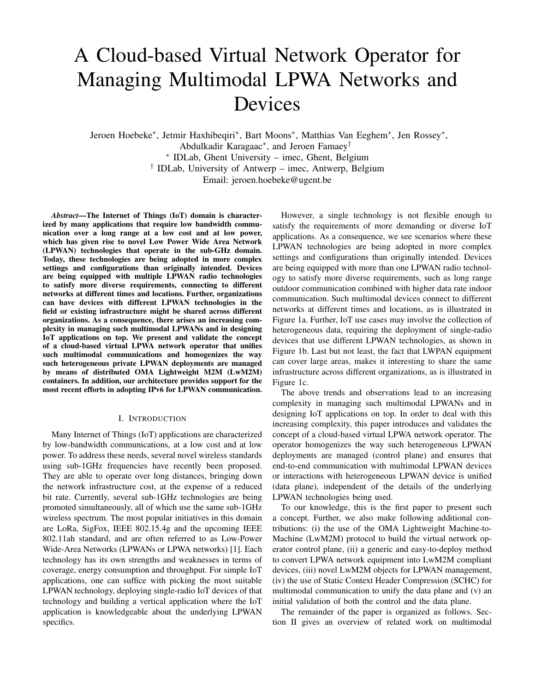# A Cloud-based Virtual Network Operator for Managing Multimodal LPWA Networks and Devices

Jeroen Hoebeke<sup>∗</sup> , Jetmir Haxhibeqiri<sup>∗</sup> , Bart Moons<sup>∗</sup> , Matthias Van Eeghem<sup>∗</sup> , Jen Rossey<sup>∗</sup> , Abdulkadir Karagaac<sup>∗</sup> , and Jeroen Famaey† ∗ IDLab, Ghent University – imec, Ghent, Belgium † IDLab, University of Antwerp – imec, Antwerp, Belgium Email: jeroen.hoebeke@ugent.be

*Abstract*—The Internet of Things (IoT) domain is characterized by many applications that require low bandwidth communication over a long range at a low cost and at low power, which has given rise to novel Low Power Wide Area Network (LPWAN) technologies that operate in the sub-GHz domain. Today, these technologies are being adopted in more complex settings and configurations than originally intended. Devices are being equipped with multiple LPWAN radio technologies to satisfy more diverse requirements, connecting to different networks at different times and locations. Further, organizations can have devices with different LPWAN technologies in the field or existing infrastructure might be shared across different organizations. As a consequence, there arises an increasing complexity in managing such multimodal LPWANs and in designing IoT applications on top. We present and validate the concept of a cloud-based virtual LPWA network operator that unifies such multimodal communications and homogenizes the way such heterogeneous private LPWAN deployments are managed by means of distributed OMA Lightweight M2M (LwM2M) containers. In addition, our architecture provides support for the most recent efforts in adopting IPv6 for LPWAN communication.

#### I. INTRODUCTION

Many Internet of Things (IoT) applications are characterized by low-bandwidth communications, at a low cost and at low power. To address these needs, several novel wireless standards using sub-1GHz frequencies have recently been proposed. They are able to operate over long distances, bringing down the network infrastructure cost, at the expense of a reduced bit rate. Currently, several sub-1GHz technologies are being promoted simultaneously, all of which use the same sub-1GHz wireless spectrum. The most popular initiatives in this domain are LoRa, SigFox, IEEE 802.15.4g and the upcoming IEEE 802.11ah standard, and are often referred to as Low-Power Wide-Area Networks (LPWANs or LPWA networks) [1]. Each technology has its own strengths and weaknesses in terms of coverage, energy consumption and throughput. For simple IoT applications, one can suffice with picking the most suitable LPWAN technology, deploying single-radio IoT devices of that technology and building a vertical application where the IoT application is knowledgeable about the underlying LPWAN specifics.

However, a single technology is not flexible enough to satisfy the requirements of more demanding or diverse IoT applications. As a consequence, we see scenarios where these LPWAN technologies are being adopted in more complex settings and configurations than originally intended. Devices are being equipped with more than one LPWAN radio technology to satisfy more diverse requirements, such as long range outdoor communication combined with higher data rate indoor communication. Such multimodal devices connect to different networks at different times and locations, as is illustrated in Figure 1a. Further, IoT use cases may involve the collection of heterogeneous data, requiring the deployment of single-radio devices that use different LPWAN technologies, as shown in Figure 1b. Last but not least, the fact that LWPAN equipment can cover large areas, makes it interesting to share the same infrastructure across different organizations, as is illustrated in Figure 1c.

The above trends and observations lead to an increasing complexity in managing such multimodal LPWANs and in designing IoT applications on top. In order to deal with this increasing complexity, this paper introduces and validates the concept of a cloud-based virtual LPWA network operator. The operator homogenizes the way such heterogeneous LPWAN deployments are managed (control plane) and ensures that end-to-end communication with multimodal LPWAN devices or interactions with heterogeneous LPWAN device is unified (data plane), independent of the details of the underlying LPWAN technologies being used.

To our knowledge, this is the first paper to present such a concept. Further, we also make following additional contributions: (i) the use of the OMA Lightweight Machine-to-Machine (LwM2M) protocol to build the virtual network operator control plane, (ii) a generic and easy-to-deploy method to convert LPWA network equipment into LwM2M compliant devices, (iii) novel LwM2M objects for LPWAN management, (iv) the use of Static Context Header Compression (SCHC) for multimodal communication to unify the data plane and (v) an initial validation of both the control and the data plane.

The remainder of the paper is organized as follows. Section II gives an overview of related work on multimodal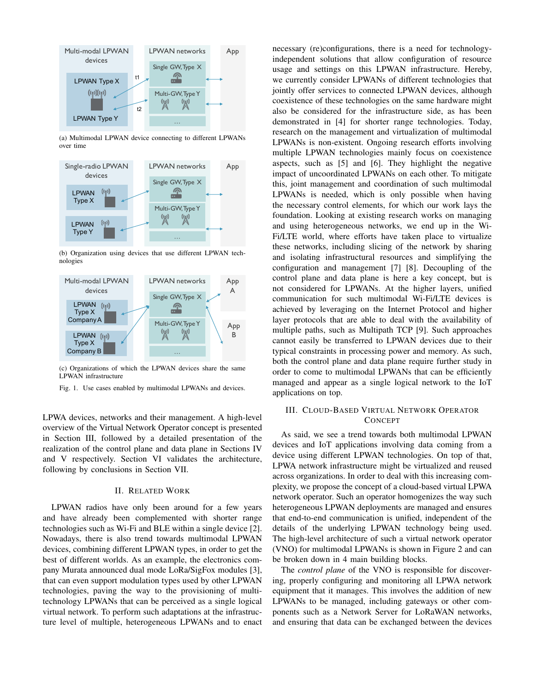

(a) Multimodal LPWAN device connecting to different LPWANs over time



(b) Organization using devices that use different LPWAN technologies



(c) Organizations of which the LPWAN devices share the same LPWAN infrastructure

Fig. 1. Use cases enabled by multimodal LPWANs and devices.

LPWA devices, networks and their management. A high-level overview of the Virtual Network Operator concept is presented in Section III, followed by a detailed presentation of the realization of the control plane and data plane in Sections IV and V respectively. Section VI validates the architecture, following by conclusions in Section VII.

# II. RELATED WORK

LPWAN radios have only been around for a few years and have already been complemented with shorter range technologies such as Wi-Fi and BLE within a single device [2]. Nowadays, there is also trend towards multimodal LPWAN devices, combining different LPWAN types, in order to get the best of different worlds. As an example, the electronics company Murata announced dual mode LoRa/SigFox modules [3], that can even support modulation types used by other LPWAN technologies, paving the way to the provisioning of multitechnology LPWANs that can be perceived as a single logical virtual network. To perform such adaptations at the infrastructure level of multiple, heterogeneous LPWANs and to enact necessary (re)configurations, there is a need for technologyindependent solutions that allow configuration of resource usage and settings on this LPWAN infrastructure. Hereby, we currently consider LPWANs of different technologies that jointly offer services to connected LPWAN devices, although coexistence of these technologies on the same hardware might also be considered for the infrastructure side, as has been demonstrated in [4] for shorter range technologies. Today, research on the management and virtualization of multimodal LPWANs is non-existent. Ongoing research efforts involving multiple LPWAN technologies mainly focus on coexistence aspects, such as [5] and [6]. They highlight the negative impact of uncoordinated LPWANs on each other. To mitigate this, joint management and coordination of such multimodal LPWANs is needed, which is only possible when having the necessary control elements, for which our work lays the foundation. Looking at existing research works on managing and using heterogeneous networks, we end up in the Wi-Fi/LTE world, where efforts have taken place to virtualize these networks, including slicing of the network by sharing and isolating infrastructural resources and simplifying the configuration and management [7] [8]. Decoupling of the control plane and data plane is here a key concept, but is not considered for LPWANs. At the higher layers, unified communication for such multimodal Wi-Fi/LTE devices is achieved by leveraging on the Internet Protocol and higher layer protocols that are able to deal with the availability of multiple paths, such as Multipath TCP [9]. Such approaches cannot easily be transferred to LPWAN devices due to their typical constraints in processing power and memory. As such, both the control plane and data plane require further study in order to come to multimodal LPWANs that can be efficiently managed and appear as a single logical network to the IoT applications on top.

# III. CLOUD-BASED VIRTUAL NETWORK OPERATOR **CONCEPT**

As said, we see a trend towards both multimodal LPWAN devices and IoT applications involving data coming from a device using different LPWAN technologies. On top of that, LPWA network infrastructure might be virtualized and reused across organizations. In order to deal with this increasing complexity, we propose the concept of a cloud-based virtual LPWA network operator. Such an operator homogenizes the way such heterogeneous LPWAN deployments are managed and ensures that end-to-end communication is unified, independent of the details of the underlying LPWAN technology being used. The high-level architecture of such a virtual network operator (VNO) for multimodal LPWANs is shown in Figure 2 and can be broken down in 4 main building blocks.

The *control plane* of the VNO is responsible for discovering, properly configuring and monitoring all LPWA network equipment that it manages. This involves the addition of new LPWANs to be managed, including gateways or other components such as a Network Server for LoRaWAN networks, and ensuring that data can be exchanged between the devices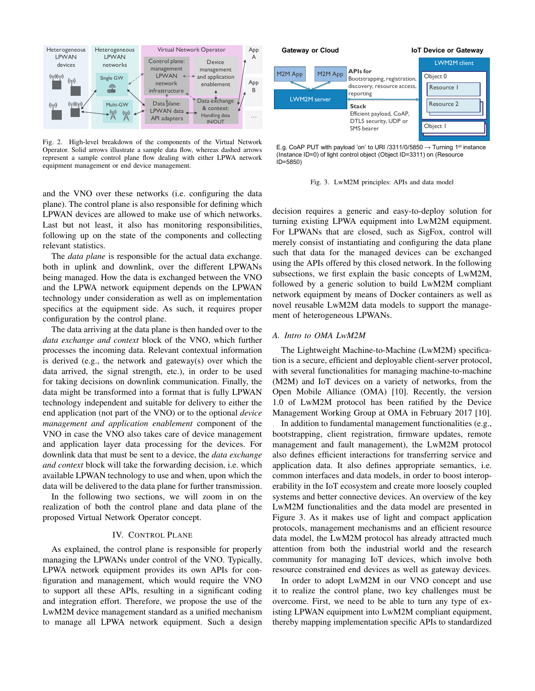

Fig. 2. High-level breakdown of the components of the Virtual Network Operator. Solid arrows illustrate a sample data flow, whereas dashed arrows represent a sample control plane flow dealing with either LPWA network equipment management or end device management.

and the VNO over these networks (i.e. configuring the data plane). The control plane is also responsible for defining which LPWAN devices are allowed to make use of which networks. Last but not least, it also has monitoring responsibilities, following up on the state of the components and collecting relevant statistics.

The *data plane* is responsible for the actual data exchange. both in uplink and downlink, over the different LPWANs being managed. How the data is exchanged between the VNO and the LPWA network equipment depends on the LPWAN technology under consideration as well as on implementation specifics at the equipment side. As such, it requires proper configuration by the control plane.

The data arriving at the data plane is then handed over to the *data exchange and context* block of the VNO, which further processes the incoming data. Relevant contextual information is derived (e.g., the network and gateway(s) over which the data arrived, the signal strength, etc.), in order to be used for taking decisions on downlink communication. Finally, the data might be transformed into a format that is fully LPWAN technology independent and suitable for delivery to either the end application (not part of the VNO) or to the optional *device management and application enablement* component of the VNO in case the VNO also takes care of device management and application layer data processing for the devices. For downlink data that must be sent to a device, the *data exchange and context* block will take the forwarding decision, i.e. which available LPWAN technology to use and when, upon which the data will be delivered to the data plane for further transmission.

In the following two sections, we will zoom in on the realization of both the control plane and data plane of the proposed Virtual Network Operator concept.

#### IV. CONTROL PLANE

As explained, the control plane is responsible for properly managing the LPWANs under control of the VNO. Typically, LPWA network equipment provides its own APIs for configuration and management, which would require the VNO to support all these APIs, resulting in a significant coding and integration effort. Therefore, we propose the use of the LwM2M device management standard as a unified mechanism to manage all LPWA network equipment. Such a design



E.g. CoAP PUT with payload 'on' to URI /3311/0/5850  $\rightarrow$  Turning 1st instance (Instance ID=0) of light control object (Object ID=3311) on (Resource ID=5850)

Fig. 3. LwM2M principles: APIs and data model

decision requires a generic and easy-to-deploy solution for turning existing LPWA equipment into LwM2M equipment. For LPWANs that are closed, such as SigFox, control will merely consist of instantiating and configuring the data plane such that data for the managed devices can be exchanged using the APIs offered by this closed network. In the following subsections, we first explain the basic concepts of LwM2M, followed by a generic solution to build LwM2M compliant network equipment by means of Docker containers as well as novel reusable LwM2M data models to support the management of heterogeneous LPWANs.

#### *A. Intro to OMA LwM2M*

The Lightweight Machine-to-Machine (LwM2M) specification is a secure, efficient and deployable client-server protocol, with several functionalities for managing machine-to-machine (M2M) and IoT devices on a variety of networks, from the Open Mobile Alliance (OMA) [10]. Recently, the version 1.0 of LwM2M protocol has been ratified by the Device Management Working Group at OMA in February 2017 [10].

In addition to fundamental management functionalities (e.g., bootstrapping, client registration, firmware updates, remote management and fault management), the LwM2M protocol also defines efficient interactions for transferring service and application data. It also defines appropriate semantics, i.e. common interfaces and data models, in order to boost interoperability in the IoT ecosystem and create more loosely coupled systems and better connective devices. An overview of the key LwM2M functionalities and the data model are presented in Figure 3. As it makes use of light and compact application protocols, management mechanisms and an efficient resource data model, the LwM2M protocol has already attracted much attention from both the industrial world and the research community for managing IoT devices, which involve both resource constrained end devices as well as gateway devices.

In order to adopt LwM2M in our VNO concept and use it to realize the control plane, two key challenges must be overcome. First, we need to be able to turn any type of existing LPWAN equipment into LwM2M compliant equipment, thereby mapping implementation specific APIs to standardized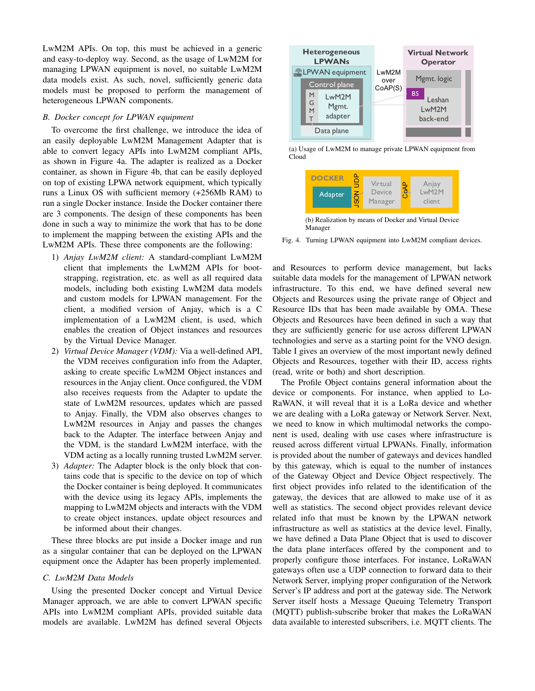LwM2M APIs. On top, this must be achieved in a generic and easy-to-deploy way. Second, as the usage of LwM2M for managing LPWAN equipment is novel, no suitable LwM2M data models exist. As such, novel, sufficiently generic data models must be proposed to perform the management of heterogeneous LPWAN components.

# *B. Docker concept for LPWAN equipment*

To overcome the first challenge, we introduce the idea of an easily deployable LwM2M Management Adapter that is able to convert legacy APIs into LwM2M compliant APIs, as shown in Figure 4a. The adapter is realized as a Docker container, as shown in Figure 4b, that can be easily deployed on top of existing LPWA network equipment, which typically runs a Linux OS with sufficient memory (+256Mb RAM) to run a single Docker instance. Inside the Docker container there are 3 components. The design of these components has been done in such a way to minimize the work that has to be done to implement the mapping between the existing APIs and the LwM2M APIs. These three components are the following:

- 1) *Anjay LwM2M client:* A standard-compliant LwM2M client that implements the LwM2M APIs for bootstrapping, registration, etc. as well as all required data models, including both existing LwM2M data models and custom models for LPWAN management. For the client, a modified version of Anjay, which is a C implementation of a LwM2M client, is used, which enables the creation of Object instances and resources by the Virtual Device Manager.
- 2) *Virtual Device Manager (VDM):* Via a well-defined API, the VDM receives configuration info from the Adapter, asking to create specific LwM2M Object instances and resources in the Anjay client. Once configured, the VDM also receives requests from the Adapter to update the state of LwM2M resources, updates which are passed to Anjay. Finally, the VDM also observes changes to LwM2M resources in Anjay and passes the changes back to the Adapter. The interface between Anjay and the VDM, is the standard LwM2M interface, with the VDM acting as a locally running trusted LwM2M server.
- 3) *Adapter:* The Adapter block is the only block that contains code that is specific to the device on top of which the Docker container is being deployed. It communicates with the device using its legacy APIs, implements the mapping to LwM2M objects and interacts with the VDM to create object instances, update object resources and be informed about their changes.

These three blocks are put inside a Docker image and run as a singular container that can be deployed on the LPWAN equipment once the Adapter has been properly implemented.

#### *C. LwM2M Data Models*

Using the presented Docker concept and Virtual Device Manager approach, we are able to convert LPWAN specific APIs into LwM2M compliant APIs, provided suitable data models are available. LwM2M has defined several Objects



(a) Usage of LwM2M to manage private LPWAN equipment from Cloud



(b) Realization by means of Docker and Virtual Device Manager

Fig. 4. Turning LPWAN equipment into LwM2M compliant devices.

and Resources to perform device management, but lacks suitable data models for the management of LPWAN network infrastructure. To this end, we have defined several new Objects and Resources using the private range of Object and Resource IDs that has been made available by OMA. These Objects and Resources have been defined in such a way that they are sufficiently generic for use across different LPWAN technologies and serve as a starting point for the VNO design. Table I gives an overview of the most important newly defined Objects and Resources, together with their ID, access rights (read, write or both) and short description.

The Profile Object contains general information about the device or components. For instance, when applied to Lo-RaWAN, it will reveal that it is a LoRa device and whether we are dealing with a LoRa gateway or Network Server. Next, we need to know in which multimodal networks the component is used, dealing with use cases where infrastructure is reused across different virtual LPWANs. Finally, information is provided about the number of gateways and devices handled by this gateway, which is equal to the number of instances of the Gateway Object and Device Object respectively. The first object provides info related to the identification of the gateway, the devices that are allowed to make use of it as well as statistics. The second object provides relevant device related info that must be known by the LPWAN network infrastructure as well as statistics at the device level. Finally, we have defined a Data Plane Object that is used to discover the data plane interfaces offered by the component and to properly configure those interfaces. For instance, LoRaWAN gateways often use a UDP connection to forward data to their Network Server, implying proper configuration of the Network Server's IP address and port at the gateway side. The Network Server itself hosts a Message Queuing Telemetry Transport (MQTT) publish-subscribe broker that makes the LoRaWAN data available to interested subscribers, i.e. MQTT clients. The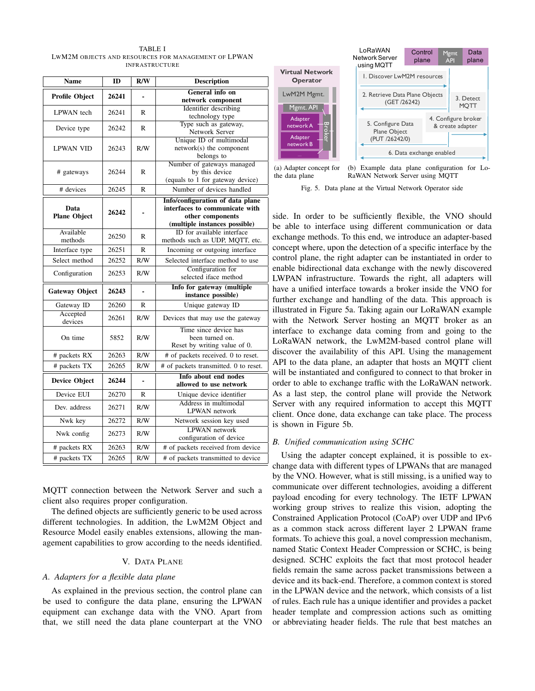TABLE I LWM2M OBJECTS AND RESOURCES FOR MANAGEMENT OF LPWAN INFRASTRUCTURE

| <b>Name</b>                 | ID    | R/W                      | <b>Description</b>                                                                                                      |  |  |
|-----------------------------|-------|--------------------------|-------------------------------------------------------------------------------------------------------------------------|--|--|
| <b>Profile Object</b>       | 26241 | $\blacksquare$           | <b>General info on</b><br>network component                                                                             |  |  |
| <b>LPWAN</b> tech           | 26241 | R                        | Identifier describing<br>technology type                                                                                |  |  |
| Device type                 | 26242 | R                        | Type such as gateway,<br>Network Server                                                                                 |  |  |
| <b>LPWAN VID</b>            | 26243 | R/W                      | Unique ID of multimodal<br>network(s) the component<br>belongs to                                                       |  |  |
| # gateways                  | 26244 | R                        | Number of gateways managed<br>by this device<br>(equals to 1 for gateway device)                                        |  |  |
| # devices                   | 26245 | R                        | Number of devices handled                                                                                               |  |  |
| Data<br><b>Plane Object</b> | 26242 | $\blacksquare$           | Info/configuration of data plane<br>interfaces to communicate with<br>other components<br>(multiple instances possible) |  |  |
| Available<br>methods        | 26250 | R                        | ID for available interface<br>methods such as UDP, MQTT, etc.                                                           |  |  |
| Interface type              | 26251 | R                        | Incoming or outgoing interface                                                                                          |  |  |
| Select method               | 26252 | R/W                      | Selected interface method to use                                                                                        |  |  |
| Configuration               | 26253 | R/W                      | Configuration for<br>selected iface method                                                                              |  |  |
| <b>Gateway Object</b>       | 26243 |                          | Info for gateway (multiple<br>instance possible)                                                                        |  |  |
| Gateway ID                  | 26260 | R                        | Unique gateway ID                                                                                                       |  |  |
| Accepted<br>devices         | 26261 | R/W                      | Devices that may use the gateway                                                                                        |  |  |
| On time                     | 5852  | R/W                      | Time since device has<br>been turned on.<br>Reset by writing value of 0.                                                |  |  |
| # packets RX                | 26263 | R/W                      | # of packets received. 0 to reset.                                                                                      |  |  |
| # packets TX                | 26265 | R/W                      | # of packets transmitted. 0 to reset.                                                                                   |  |  |
| <b>Device Object</b>        | 26244 | $\overline{\phantom{a}}$ | Info about end nodes<br>allowed to use network                                                                          |  |  |
| Device EUI                  | 26270 | R                        | Unique device identifier                                                                                                |  |  |
| Dev. address                | 26271 | R/W                      | Address in multimodal<br>LPWAN network                                                                                  |  |  |
| Nwk key                     | 26272 | R/W                      | Network session key used                                                                                                |  |  |
| Nwk config                  | 26273 | R/W                      | <b>LPWAN</b> network<br>configuration of device                                                                         |  |  |
| # packets RX                | 26263 | R/W                      | # of packets received from device                                                                                       |  |  |
| # packets TX                | 26265 | R/W                      | # of packets transmitted to device                                                                                      |  |  |

MQTT connection between the Network Server and such a client also requires proper configuration.

The defined objects are sufficiently generic to be used across different technologies. In addition, the LwM2M Object and Resource Model easily enables extensions, allowing the management capabilities to grow according to the needs identified.

#### V. DATA PLANE

# *A. Adapters for a flexible data plane*

As explained in the previous section, the control plane can be used to configure the data plane, ensuring the LPWAN equipment can exchange data with the VNO. Apart from that, we still need the data plane counterpart at the VNO





Fig. 5. Data plane at the Virtual Network Operator side

side. In order to be sufficiently flexible, the VNO should be able to interface using different communication or data exchange methods. To this end, we introduce an adapter-based concept where, upon the detection of a specific interface by the control plane, the right adapter can be instantiated in order to enable bidirectional data exchange with the newly discovered LWPAN infrastructure. Towards the right, all adapters will have a unified interface towards a broker inside the VNO for further exchange and handling of the data. This approach is illustrated in Figure 5a. Taking again our LoRaWAN example with the Network Server hosting an MQTT broker as an interface to exchange data coming from and going to the LoRaWAN network, the LwM2M-based control plane will discover the availability of this API. Using the management API to the data plane, an adapter that hosts an MQTT client will be instantiated and configured to connect to that broker in order to able to exchange traffic with the LoRaWAN network. As a last step, the control plane will provide the Network Server with any required information to accept this MQTT client. Once done, data exchange can take place. The process is shown in Figure 5b.

#### *B. Unified communication using SCHC*

Using the adapter concept explained, it is possible to exchange data with different types of LPWANs that are managed by the VNO. However, what is still missing, is a unified way to communicate over different technologies, avoiding a different payload encoding for every technology. The IETF LPWAN working group strives to realize this vision, adopting the Constrained Application Protocol (CoAP) over UDP and IPv6 as a common stack across different layer 2 LPWAN frame formats. To achieve this goal, a novel compression mechanism, named Static Context Header Compression or SCHC, is being designed. SCHC exploits the fact that most protocol header fields remain the same across packet transmissions between a device and its back-end. Therefore, a common context is stored in the LPWAN device and the network, which consists of a list of rules. Each rule has a unique identifier and provides a packet header template and compression actions such as omitting or abbreviating header fields. The rule that best matches an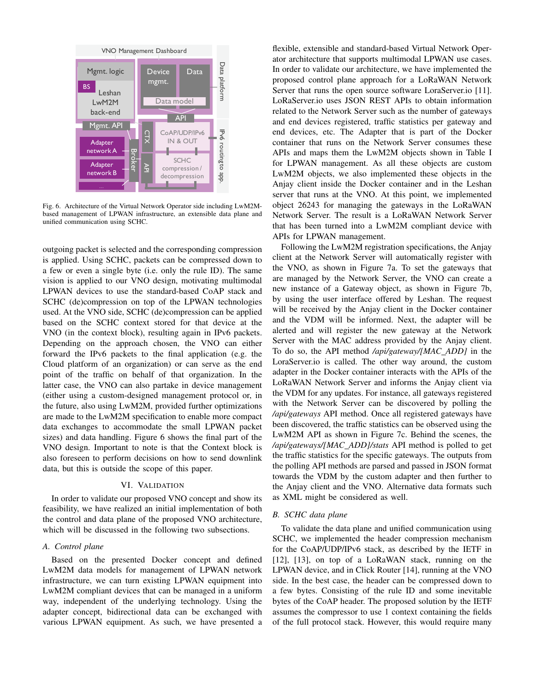

Fig. 6. Architecture of the Virtual Network Operator side including LwM2Mbased management of LPWAN infrastructure, an extensible data plane and unified communication using SCHC.

outgoing packet is selected and the corresponding compression is applied. Using SCHC, packets can be compressed down to a few or even a single byte (i.e. only the rule ID). The same vision is applied to our VNO design, motivating multimodal LPWAN devices to use the standard-based CoAP stack and SCHC (de)compression on top of the LPWAN technologies used. At the VNO side, SCHC (de)compression can be applied based on the SCHC context stored for that device at the VNO (in the context block), resulting again in IPv6 packets. Depending on the approach chosen, the VNO can either forward the IPv6 packets to the final application (e.g. the Cloud platform of an organization) or can serve as the end point of the traffic on behalf of that organization. In the latter case, the VNO can also partake in device management (either using a custom-designed management protocol or, in the future, also using LwM2M, provided further optimizations are made to the LwM2M specification to enable more compact data exchanges to accommodate the small LPWAN packet sizes) and data handling. Figure 6 shows the final part of the VNO design. Important to note is that the Context block is also foreseen to perform decisions on how to send downlink data, but this is outside the scope of this paper.

#### VI. VALIDATION

In order to validate our proposed VNO concept and show its feasibility, we have realized an initial implementation of both the control and data plane of the proposed VNO architecture, which will be discussed in the following two subsections.

# *A. Control plane*

Based on the presented Docker concept and defined LwM2M data models for management of LPWAN network infrastructure, we can turn existing LPWAN equipment into LwM2M compliant devices that can be managed in a uniform way, independent of the underlying technology. Using the adapter concept, bidirectional data can be exchanged with various LPWAN equipment. As such, we have presented a

flexible, extensible and standard-based Virtual Network Operator architecture that supports multimodal LPWAN use cases. In order to validate our architecture, we have implemented the proposed control plane approach for a LoRaWAN Network Server that runs the open source software LoraServer.io [11]. LoRaServer.io uses JSON REST APIs to obtain information related to the Network Server such as the number of gateways and end devices registered, traffic statistics per gateway and end devices, etc. The Adapter that is part of the Docker container that runs on the Network Server consumes these APIs and maps them the LwM2M objects shown in Table I for LPWAN management. As all these objects are custom LwM2M objects, we also implemented these objects in the Anjay client inside the Docker container and in the Leshan server that runs at the VNO. At this point, we implemented object 26243 for managing the gateways in the LoRaWAN Network Server. The result is a LoRaWAN Network Server that has been turned into a LwM2M compliant device with APIs for LPWAN management.

Following the LwM2M registration specifications, the Anjay client at the Network Server will automatically register with the VNO, as shown in Figure 7a. To set the gateways that are managed by the Network Server, the VNO can create a new instance of a Gateway object, as shown in Figure 7b, by using the user interface offered by Leshan. The request will be received by the Anjay client in the Docker container and the VDM will be informed. Next, the adapter will be alerted and will register the new gateway at the Network Server with the MAC address provided by the Anjay client. To do so, the API method */api/gateway/[MAC ADD]* in the LoraServer.io is called. The other way around, the custom adapter in the Docker container interacts with the APIs of the LoRaWAN Network Server and informs the Anjay client via the VDM for any updates. For instance, all gateways registered with the Network Server can be discovered by polling the */api/gateways* API method. Once all registered gateways have been discovered, the traffic statistics can be observed using the LwM2M API as shown in Figure 7c. Behind the scenes, the */api/gateways/[MAC ADD]/stats* API method is polled to get the traffic statistics for the specific gateways. The outputs from the polling API methods are parsed and passed in JSON format towards the VDM by the custom adapter and then further to the Anjay client and the VNO. Alternative data formats such as XML might be considered as well.

# *B. SCHC data plane*

To validate the data plane and unified communication using SCHC, we implemented the header compression mechanism for the CoAP/UDP/IPv6 stack, as described by the IETF in [12], [13], on top of a LoRaWAN stack, running on the LPWAN device, and in Click Router [14], running at the VNO side. In the best case, the header can be compressed down to a few bytes. Consisting of the rule ID and some inevitable bytes of the CoAP header. The proposed solution by the IETF assumes the compressor to use 1 context containing the fields of the full protocol stack. However, this would require many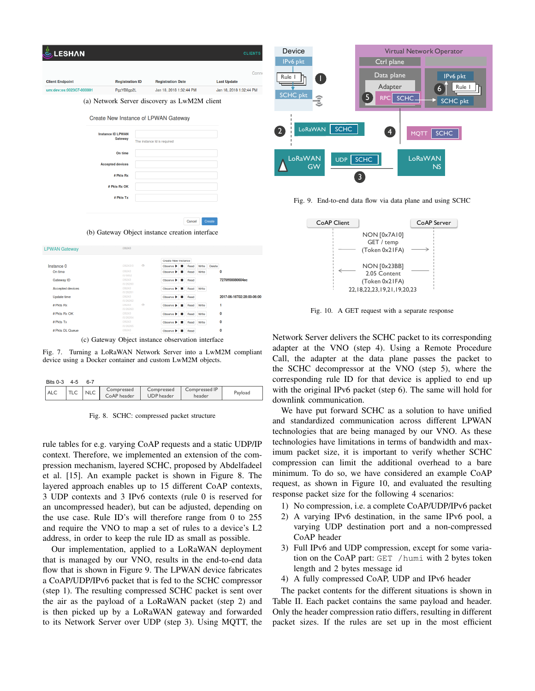| <b>LESHAN</b>            |                                                          |                |                                                           |                               | <b>CLIENTS</b>            |
|--------------------------|----------------------------------------------------------|----------------|-----------------------------------------------------------|-------------------------------|---------------------------|
|                          |                                                          |                |                                                           |                               | Conne                     |
| <b>Client Endpoint</b>   | <b>Registration ID</b>                                   |                | <b>Registration Date</b>                                  |                               | <b>Last Update</b>        |
| urn:dev:os:0023C7-000001 | PgzYB8gp2L                                               |                | Jan 18, 2018 1:32:44 PM                                   |                               | Jan 18, 2018 1:32:44 PM   |
|                          | (a) Network Server discovery as LwM2M client             |                |                                                           |                               |                           |
|                          | Create New Instance of LPWAN Gateway                     |                |                                                           |                               |                           |
|                          | <b>Instance ID LPWAN</b>                                 |                |                                                           |                               |                           |
|                          | Gateway                                                  |                | The instance Id is required                               |                               |                           |
|                          | On time                                                  |                |                                                           |                               |                           |
|                          | <b>Accepted devices</b>                                  |                |                                                           |                               |                           |
|                          | # Pkts Rx                                                |                |                                                           |                               |                           |
|                          |                                                          |                |                                                           |                               |                           |
|                          | # Pkts Rx OK                                             |                |                                                           |                               |                           |
|                          | # Pkts Tx                                                |                |                                                           |                               |                           |
|                          |                                                          |                |                                                           | Cancel                        |                           |
| <b>LPWAN Gateway</b>     | (b) Gateway Object instance creation interface<br>/26243 |                |                                                           |                               | Create                    |
|                          |                                                          |                |                                                           |                               |                           |
| Instance 0               | /26243/0                                                 | Ó              | Create New Instance<br>Observe $\blacktriangleright$<br>п | Write<br>Read                 | Delete                    |
| On time                  | /26243                                                   |                | Observe $\blacktriangleright$                             | Write<br>Read                 | 0                         |
| Gateway ID               | /0/5852<br>/26243<br>/0/26260                            |                | Observe $\blacktriangleright$ $\blacksquare$              | Read                          | 7276ff00080604ec          |
| Accepted devices         | /26243<br>/0/26261                                       |                | п<br>Observe $\blacktriangleright$                        | Read<br>Write                 |                           |
| Update time              | /26243<br>/0/26262                                       |                | Observe <b>D</b><br>п                                     | Read                          | 2017-06-16T02:28:00-06:00 |
| # Pkts Rx                | /26243<br>/0/26263                                       | $\circledcirc$ | Observe $\blacktriangleright$<br>ш                        | Write<br>Read                 | 1                         |
| # Pkts Rx OK             | /26243<br>/0/26264                                       |                | Observe $\blacktriangleright$ $\blacksquare$              | Write<br>Read                 | 0                         |
| # Pkte Tv                |                                                          |                | Observe by III                                            | <b>Dond</b><br><b>Maritim</b> | n                         |

(c) Gateway Object instance observation interface

Observe  $\blacktriangleright$  **III** Read

# Pkts DL Queue



| Bits $0-3$ | $4 - 5$ | $6 - 7$    |                           |                                 |                         |         |
|------------|---------|------------|---------------------------|---------------------------------|-------------------------|---------|
| <b>ALC</b> |         | <b>NLC</b> | Compressed<br>CoAP header | Compressed<br><b>UDP</b> header | Compressed IP<br>header | Payload |

Fig. 8. SCHC: compressed packet structure

rule tables for e.g. varying CoAP requests and a static UDP/IP context. Therefore, we implemented an extension of the compression mechanism, layered SCHC, proposed by Abdelfadeel et al. [15]. An example packet is shown in Figure 8. The layered approach enables up to 15 different CoAP contexts, 3 UDP contexts and 3 IPv6 contexts (rule 0 is reserved for an uncompressed header), but can be adjusted, depending on the use case. Rule ID's will therefore range from 0 to 255 and require the VNO to map a set of rules to a device's L2 address, in order to keep the rule ID as small as possible.

Our implementation, applied to a LoRaWAN deployment that is managed by our VNO, results in the end-to-end data flow that is shown in Figure 9. The LPWAN device fabricates a CoAP/UDP/IPv6 packet that is fed to the SCHC compressor (step 1). The resulting compressed SCHC packet is sent over the air as the payload of a LoRaWAN packet (step 2) and is then picked up by a LoRaWAN gateway and forwarded to its Network Server over UDP (step 3). Using MQTT, the



Fig. 9. End-to-end data flow via data plane and using SCHC



Fig. 10. A GET request with a separate response

Network Server delivers the SCHC packet to its corresponding adapter at the VNO (step 4). Using a Remote Procedure Call, the adapter at the data plane passes the packet to the SCHC decompressor at the VNO (step 5), where the corresponding rule ID for that device is applied to end up with the original IPv6 packet (step 6). The same will hold for downlink communication.

We have put forward SCHC as a solution to have unified and standardized communication across different LPWAN technologies that are being managed by our VNO. As these technologies have limitations in terms of bandwidth and maximum packet size, it is important to verify whether SCHC compression can limit the additional overhead to a bare minimum. To do so, we have considered an example CoAP request, as shown in Figure 10, and evaluated the resulting response packet size for the following 4 scenarios:

- 1) No compression, i.e. a complete CoAP/UDP/IPv6 packet
- 2) A varying IPv6 destination, in the same IPv6 pool, a varying UDP destination port and a non-compressed CoAP header
- 3) Full IPv6 and UDP compression, except for some variation on the CoAP part: GET /humi with 2 bytes token length and 2 bytes message id
- 4) A fully compressed CoAP, UDP and IPv6 header

The packet contents for the different situations is shown in Table II. Each packet contains the same payload and header. Only the header compression ratio differs, resulting in different packet sizes. If the rules are set up in the most efficient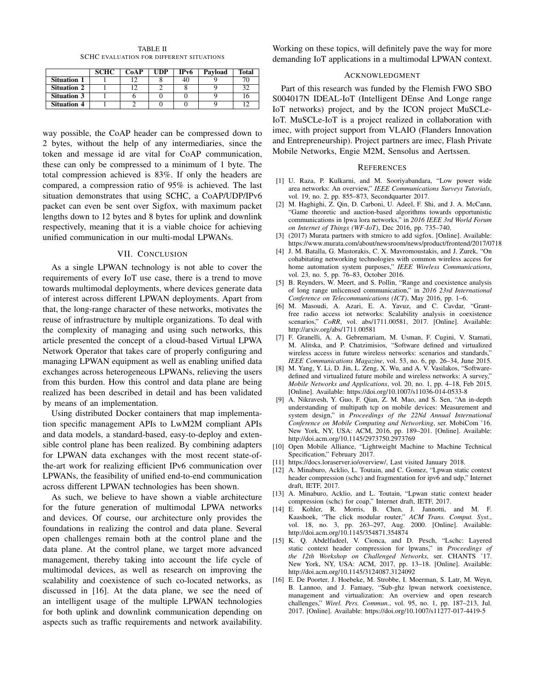| TABLE II                                        |  |  |  |  |  |  |
|-------------------------------------------------|--|--|--|--|--|--|
| <b>SCHC EVALUATION FOR DIFFERENT SITUATIONS</b> |  |  |  |  |  |  |

|                    | <b>SCHC</b> | CoAP | <b>UDP</b> | IP <sub>v</sub> 6 | Payload | <b>Total</b> |
|--------------------|-------------|------|------------|-------------------|---------|--------------|
| <b>Situation 1</b> |             |      |            | 40                |         |              |
| <b>Situation 2</b> |             |      |            |                   |         |              |
| <b>Situation 3</b> |             |      |            |                   |         |              |
| <b>Situation 4</b> |             |      |            |                   |         |              |

way possible, the CoAP header can be compressed down to 2 bytes, without the help of any intermediaries, since the token and message id are vital for CoAP communication, these can only be compressed to a minimum of 1 byte. The total compression achieved is 83%. If only the headers are compared, a compression ratio of 95% is achieved. The last situation demonstrates that using SCHC, a CoAP/UDP/IPv6 packet can even be sent over Sigfox, with maximum packet lengths down to 12 bytes and 8 bytes for uplink and downlink respectively, meaning that it is a viable choice for achieving unified communication in our multi-modal LPWANs.

#### VII. CONCLUSION

As a single LPWAN technology is not able to cover the requirements of every IoT use case, there is a trend to move towards multimodal deployments, where devices generate data of interest across different LPWAN deployments. Apart from that, the long-range character of these networks, motivates the reuse of infrastructure by multiple organizations. To deal with the complexity of managing and using such networks, this article presented the concept of a cloud-based Virtual LPWA Network Operator that takes care of properly configuring and managing LPWAN equipment as well as enabling unified data exchanges across heterogeneous LPWANs, relieving the users from this burden. How this control and data plane are being realized has been described in detail and has been validated by means of an implementation.

Using distributed Docker containers that map implementation specific management APIs to LwM2M compliant APIs and data models, a standard-based, easy-to-deploy and extensible control plane has been realized. By combining adapters for LPWAN data exchanges with the most recent state-ofthe-art work for realizing efficient IPv6 communication over LPWANs, the feasibility of unified end-to-end communication across different LPWAN technologies has been shown.

As such, we believe to have shown a viable architecture for the future generation of multimodal LPWA networks and devices. Of course, our architecture only provides the foundations in realizing the control and data plane. Several open challenges remain both at the control plane and the data plane. At the control plane, we target more advanced management, thereby taking into account the life cycle of multimodal devices, as well as research on improving the scalability and coexistence of such co-located networks, as discussed in [16]. At the data plane, we see the need of an intelligent usage of the multiple LPWAN technologies for both uplink and downlink communication depending on aspects such as traffic requirements and network availability. Working on these topics, will definitely pave the way for more demanding IoT applications in a multimodal LPWAN context.

#### ACKNOWLEDGMENT

Part of this research was funded by the Flemish FWO SBO S004017N IDEAL-IoT (Intelligent DEnse And Longe range IoT networks) project, and by the ICON project MuSCLe-IoT. MuSCLe-IoT is a project realized in collaboration with imec, with project support from VLAIO (Flanders Innovation and Entrepreneurship). Project partners are imec, Flash Private Mobile Networks, Engie M2M, Sensolus and Aertssen.

#### **REFERENCES**

- [1] U. Raza, P. Kulkarni, and M. Sooriyabandara, "Low power wide area networks: An overview," *IEEE Communications Surveys Tutorials*, vol. 19, no. 2, pp. 855–873, Secondquarter 2017.
- [2] M. Haghighi, Z. Qin, D. Carboni, U. Adeel, F. Shi, and J. A. McCann, "Game theoretic and auction-based algorithms towards opportunistic communications in lpwa lora networks," in *2016 IEEE 3rd World Forum on Internet of Things (WF-IoT)*, Dec 2016, pp. 735–740.
- [3] (2017) Murata partners with stmicro to add sigfox. [Online]. Available: https://www.murata.com/about/newsroom/news/product/frontend/2017/0718
- [4] J. M. Batalla, G. Mastorakis, C. X. Mavromoustakis, and J. Zurek, "On cohabitating networking technologies with common wireless access for home automation system purposes," *IEEE Wireless Communications*, vol. 23, no. 5, pp. 76–83, October 2016.
- [5] B. Reynders, W. Meert, and S. Pollin, "Range and coexistence analysis of long range unlicensed communication," in *2016 23rd International Conference on Telecommunications (ICT)*, May 2016, pp. 1–6.
- [6] M. Masoudi, A. Azari, E. A. Yavuz, and C. Cavdar, "Grantfree radio access iot networks: Scalability analysis in coexistence scenarios," *CoRR*, vol. abs/1711.00581, 2017. [Online]. Available: http://arxiv.org/abs/1711.00581
- [7] F. Granelli, A. A. Gebremariam, M. Usman, F. Cugini, V. Stamati, M. Alitska, and P. Chatzimisios, "Software defined and virtualized wireless access in future wireless networks: scenarios and standards." *IEEE Communications Magazine*, vol. 53, no. 6, pp. 26–34, June 2015.
- [8] M. Yang, Y. Li, D. Jin, L. Zeng, X. Wu, and A. V. Vasilakos, "Softwaredefined and virtualized future mobile and wireless networks: A survey," *Mobile Networks and Applications*, vol. 20, no. 1, pp. 4–18, Feb 2015. [Online]. Available: https://doi.org/10.1007/s11036-014-0533-8
- [9] A. Nikravesh, Y. Guo, F. Qian, Z. M. Mao, and S. Sen, "An in-depth understanding of multipath tcp on mobile devices: Measurement and system design," in *Proceedings of the 22Nd Annual International Conference on Mobile Computing and Networking*, ser. MobiCom '16. New York, NY, USA: ACM, 2016, pp. 189–201. [Online]. Available: http://doi.acm.org/10.1145/2973750.2973769
- [10] Open Mobile Alliance, "Lightweight Machine to Machine Technical Specification," February 2017.
- 
- [11] https://docs.loraserver.io/overview/, Last visited January 2018. A. Minaburo, Acklio, L. Toutain, and C. Gomez, "Lpwan static context header compression (schc) and fragmentation for ipv6 and udp," Internet draft, IETF, 2017.
- [13] A. Minaburo, Acklio, and L. Toutain, "Lpwan static context header compression (schc) for coap," Internet draft, IETF, 2017.
- [14] E. Kohler, R. Morris, B. Chen, J. Jannotti, and M. F. Kaashoek, "The click modular router," *ACM Trans. Comput. Syst.*, vol. 18, no. 3, pp. 263–297, Aug. 2000. [Online]. Available: http://doi.acm.org/10.1145/354871.354874
- [15] K. Q. Abdelfadeel, V. Cionca, and D. Pesch, "Lschc: Layered static context header compression for lpwans," in *Proceedings of the 12th Workshop on Challenged Networks*, ser. CHANTS '17. New York, NY, USA: ACM, 2017, pp. 13–18. [Online]. Available: http://doi.acm.org/10.1145/3124087.3124092
- [16] E. De Poorter, J. Hoebeke, M. Strobbe, I. Moerman, S. Latr, M. Weyn, B. Lannoo, and J. Famaey, "Sub-ghz lpwan network coexistence, management and virtualization: An overview and open research challenges," *Wirel. Pers. Commun.*, vol. 95, no. 1, pp. 187–213, Jul. 2017. [Online]. Available: https://doi.org/10.1007/s11277-017-4419-5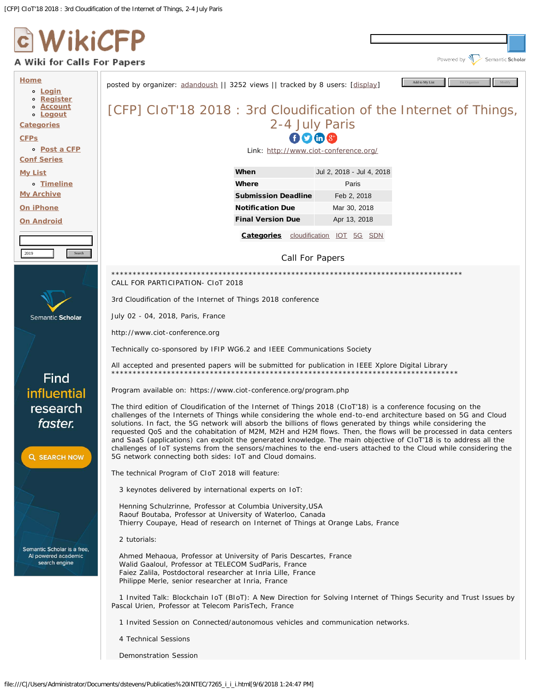

# A Wiki for Calls For Papers



Search computer science papers

Powered by **W** Semantic Scholar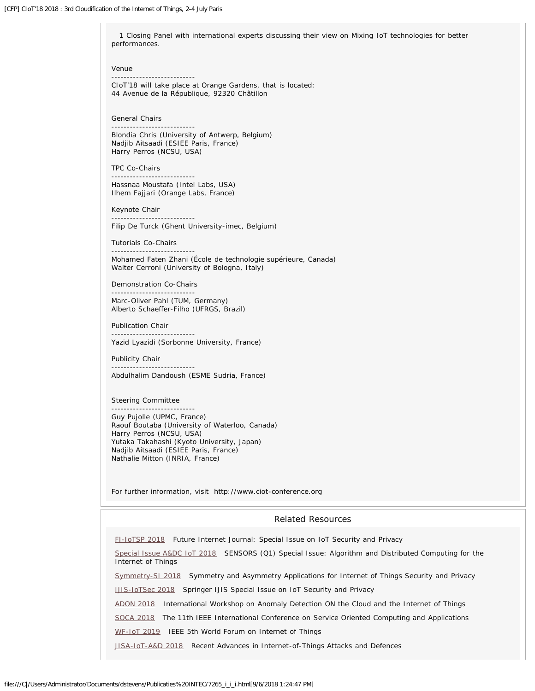1 Closing Panel with international experts discussing their view on Mixing IoT technologies for better performances.

Venue

--------------------------- CIoT'18 will take place at Orange Gardens, that is located: 44 Avenue de la République, 92320 Châtillon

General Chairs

---------------------------

Blondia Chris (University of Antwerp, Belgium) Nadjib Aitsaadi (ESIEE Paris, France) Harry Perros (NCSU, USA)

TPC Co-Chairs

--------------------------- Hassnaa Moustafa (Intel Labs, USA) Ilhem Fajjari (Orange Labs, France)

Keynote Chair

Filip De Turck (Ghent University-imec, Belgium)

Tutorials Co-Chairs ---------------------------

---------------------------

Mohamed Faten Zhani (École de technologie supérieure, Canada) Walter Cerroni (University of Bologna, Italy)

Demonstration Co-Chairs ---------------------------

Marc-Oliver Pahl (TUM, Germany) Alberto Schaeffer-Filho (UFRGS, Brazil)

Publication Chair --------------------------- Yazid Lyazidi (Sorbonne University, France)

Publicity Chair --------------------------- Abdulhalim Dandoush (ESME Sudria, France)

Steering Committee ---------------------------

Guy Pujolle (UPMC, France) Raouf Boutaba (University of Waterloo, Canada) Harry Perros (NCSU, USA) Yutaka Takahashi (Kyoto University, Japan) Nadjib Aitsaadi (ESIEE Paris, France) Nathalie Mitton (INRIA, France)

For further information, visit http://www.ciot-conference.org

# Related Resources

[FI-IoTSP 2018](http://www.wikicfp.com/cfp/servlet/event.showcfp?eventid=64353) Future Internet Journal: Special Issue on IoT Security and Privacy

[Special Issue A&DC IoT 2018](http://www.wikicfp.com/cfp/servlet/event.showcfp?eventid=74395) SENSORS (Q1) Special Issue: Algorithm and Distributed Computing for the Internet of Things

[Symmetry-SI 2018](http://www.wikicfp.com/cfp/servlet/event.showcfp?eventid=75037) Symmetry and Asymmetry Applications for Internet of Things Security and Privacy

[IJIS-IoTSec 2018](http://www.wikicfp.com/cfp/servlet/event.showcfp?eventid=73788) Springer IJIS Special Issue on IoT Security and Privacy

[ADON 2018](http://www.wikicfp.com/cfp/servlet/event.showcfp?eventid=77408) International Workshop on Anomaly Detection ON the Cloud and the Internet of Things

[SOCA 2018](http://www.wikicfp.com/cfp/servlet/event.showcfp?eventid=73985) The 11th IEEE International Conference on Service Oriented Computing and Applications

[WF-IoT 2019](http://www.wikicfp.com/cfp/servlet/event.showcfp?eventid=78771) IEEE 5th World Forum on Internet of Things

[JISA-IoT-A&D 2018](http://www.wikicfp.com/cfp/servlet/event.showcfp?eventid=74606) Recent Advances in Internet-of-Things Attacks and Defences